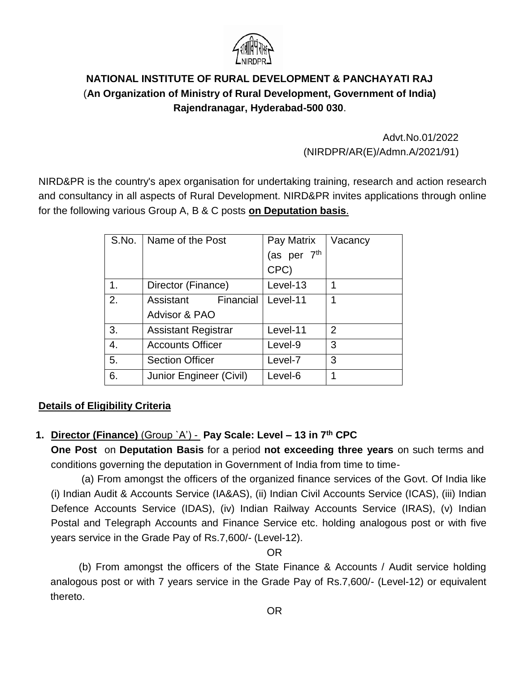

# **NATIONAL INSTITUTE OF RURAL DEVELOPMENT & PANCHAYATI RAJ** (**An Organization of Ministry of Rural Development, Government of India) Rajendranagar, Hyderabad-500 030**.

Advt.No.01/2022 (NIRDPR/AR(E)/Admn.A/2021/91)

NIRD&PR is the country's apex organisation for undertaking training, research and action research and consultancy in all aspects of Rural Development. NIRD&PR invites applications through online for the following various Group A, B & C posts **on Deputation basis**.

| S.No. | Name of the Post           | Pay Matrix  | Vacancy |
|-------|----------------------------|-------------|---------|
|       |                            | (as per 7th |         |
|       |                            | CPC)        |         |
| 1.    | Director (Finance)         | Level-13    | 1       |
| 2.    | Assistant Financial        | Level-11    | 1       |
|       | <b>Advisor &amp; PAO</b>   |             |         |
| 3.    | <b>Assistant Registrar</b> | Level-11    | 2       |
| 4.    | <b>Accounts Officer</b>    | Level-9     | 3       |
| 5.    | <b>Section Officer</b>     | Level-7     | 3       |
| 6.    | Junior Engineer (Civil)    | Level-6     | 1       |

## **Details of Eligibility Criteria**

## **1. Director (Finance)** (Group `A') - **Pay Scale: Level – 13 in 7th CPC**

**One Post** on **Deputation Basis** for a period **not exceeding three years** on such terms and conditions governing the deputation in Government of India from time to time-

(a) From amongst the officers of the organized finance services of the Govt. Of India like (i) Indian Audit & Accounts Service (IA&AS), (ii) Indian Civil Accounts Service (ICAS), (iii) Indian Defence Accounts Service (IDAS), (iv) Indian Railway Accounts Service (IRAS), (v) Indian Postal and Telegraph Accounts and Finance Service etc. holding analogous post or with five years service in the Grade Pay of Rs.7,600/- (Level-12).

#### OR

 (b) From amongst the officers of the State Finance & Accounts / Audit service holding analogous post or with 7 years service in the Grade Pay of Rs.7,600/- (Level-12) or equivalent thereto.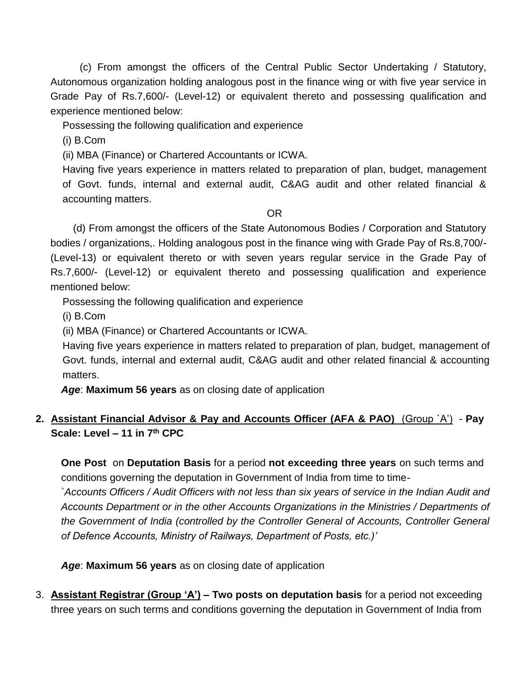(c) From amongst the officers of the Central Public Sector Undertaking / Statutory, Autonomous organization holding analogous post in the finance wing or with five year service in Grade Pay of Rs.7,600/- (Level-12) or equivalent thereto and possessing qualification and experience mentioned below:

Possessing the following qualification and experience

(i) B.Com

(ii) MBA (Finance) or Chartered Accountants or ICWA.

Having five years experience in matters related to preparation of plan, budget, management of Govt. funds, internal and external audit, C&AG audit and other related financial & accounting matters.

OR

 (d) From amongst the officers of the State Autonomous Bodies / Corporation and Statutory bodies / organizations,. Holding analogous post in the finance wing with Grade Pay of Rs.8,700/- (Level-13) or equivalent thereto or with seven years regular service in the Grade Pay of Rs.7,600/- (Level-12) or equivalent thereto and possessing qualification and experience mentioned below:

Possessing the following qualification and experience

(i) B.Com

(ii) MBA (Finance) or Chartered Accountants or ICWA.

Having five years experience in matters related to preparation of plan, budget, management of Govt. funds, internal and external audit, C&AG audit and other related financial & accounting matters.

*Age*: **Maximum 56 years** as on closing date of application

## **2. Assistant Financial Advisor & Pay and Accounts Officer (AFA & PAO)** (Group `A') - **Pay Scale: Level – 11 in 7th CPC**

**One Post** on **Deputation Basis** for a period **not exceeding three years** on such terms and conditions governing the deputation in Government of India from time to time-

*`Accounts Officers / Audit Officers with not less than six years of service in the Indian Audit and Accounts Department or in the other Accounts Organizations in the Ministries / Departments of the Government of India (controlled by the Controller General of Accounts, Controller General of Defence Accounts, Ministry of Railways, Department of Posts, etc.)'*

*Age*: **Maximum 56 years** as on closing date of application

3. **Assistant Registrar (Group 'A') – Two posts on deputation basis** for a period not exceeding three years on such terms and conditions governing the deputation in Government of India from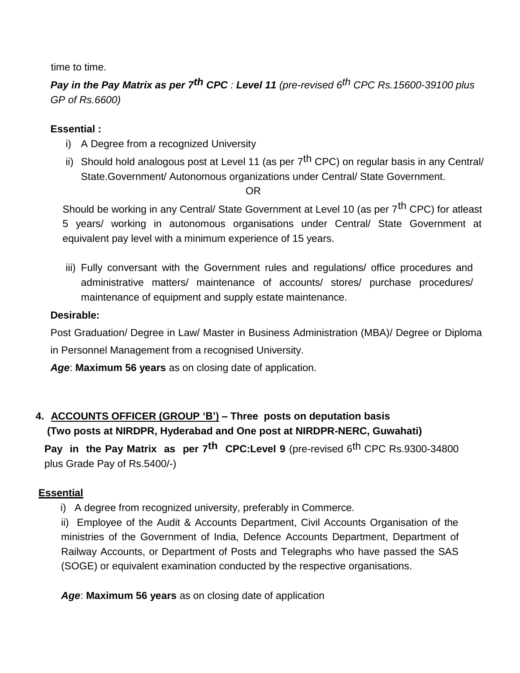time to time.

*Pay in the Pay Matrix as per 7th CPC : Level 11 (pre-revised 6th CPC Rs.15600-39100 plus GP of Rs.6600)*

### **Essential :**

- i) A Degree from a recognized University
- ii) Should hold analogous post at Level 11 (as per 7<sup>th</sup> CPC) on regular basis in any Central/ State.Government/ Autonomous organizations under Central/ State Government.

OR

Should be working in any Central/ State Government at Level 10 (as per 7<sup>th</sup> CPC) for atleast 5 years/ working in autonomous organisations under Central/ State Government at equivalent pay level with a minimum experience of 15 years.

iii) Fully conversant with the Government rules and regulations/ office procedures and administrative matters/ maintenance of accounts/ stores/ purchase procedures/ maintenance of equipment and supply estate maintenance.

#### **Desirable:**

Post Graduation/ Degree in Law/ Master in Business Administration (MBA)/ Degree or Diploma in Personnel Management from a recognised University.

*Age*: **Maximum 56 years** as on closing date of application.

## **4. ACCOUNTS OFFICER (GROUP 'B') – Three posts on deputation basis (Two posts at NIRDPR, Hyderabad and One post at NIRDPR-NERC, Guwahati)**

**Pay in the Pay Matrix as per 7<sup>th</sup> CPC:Level 9** (pre-revised 6<sup>th</sup> CPC Rs.9300-34800 plus Grade Pay of Rs.5400/-)

## **Essential**

i) A degree from recognized university, preferably in Commerce.

ii) Employee of the Audit & Accounts Department, Civil Accounts Organisation of the ministries of the Government of India, Defence Accounts Department, Department of Railway Accounts, or Department of Posts and Telegraphs who have passed the SAS (SOGE) or equivalent examination conducted by the respective organisations.

*Age*: **Maximum 56 years** as on closing date of application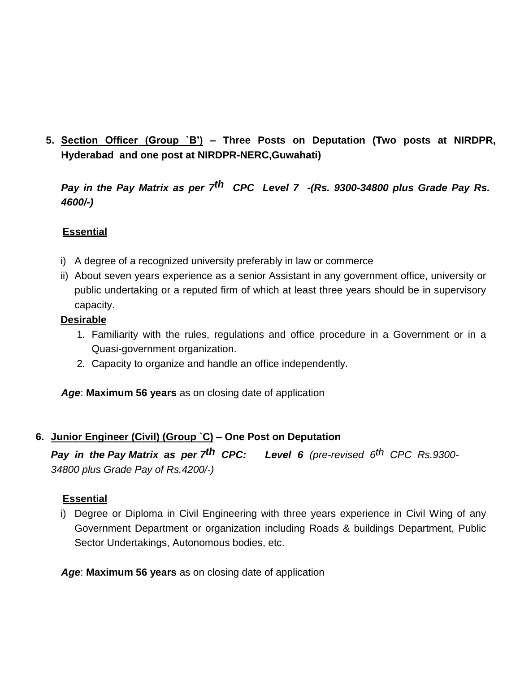**5. Section Officer (Group `B') – Three Posts on Deputation (Two posts at NIRDPR, Hyderabad and one post at NIRDPR-NERC,Guwahati)**

*Pay in the Pay Matrix as per 7 th CPC Level 7 -(Rs. 9300-34800 plus Grade Pay Rs. 4600/-)*

### **Essential**

- i) A degree of a recognized university preferably in law or commerce
- ii) About seven years experience as a senior Assistant in any government office, university or public undertaking or a reputed firm of which at least three years should be in supervisory capacity.

#### **Desirable**

- 1. Familiarity with the rules, regulations and office procedure in a Government or in a Quasi-government organization.
- 2. Capacity to organize and handle an office independently.

*Age*: **Maximum 56 years** as on closing date of application

### **6. Junior Engineer (Civil) (Group `C) – One Post on Deputation**

*Pay in the Pay Matrix as per 7 th CPC: Level 6 (pre-revised 6th CPC Rs.9300- 34800 plus Grade Pay of Rs.4200/-)*

#### **Essential**

i) Degree or Diploma in Civil Engineering with three years experience in Civil Wing of any Government Department or organization including Roads & buildings Department, Public Sector Undertakings, Autonomous bodies, etc.

*Age*: **Maximum 56 years** as on closing date of application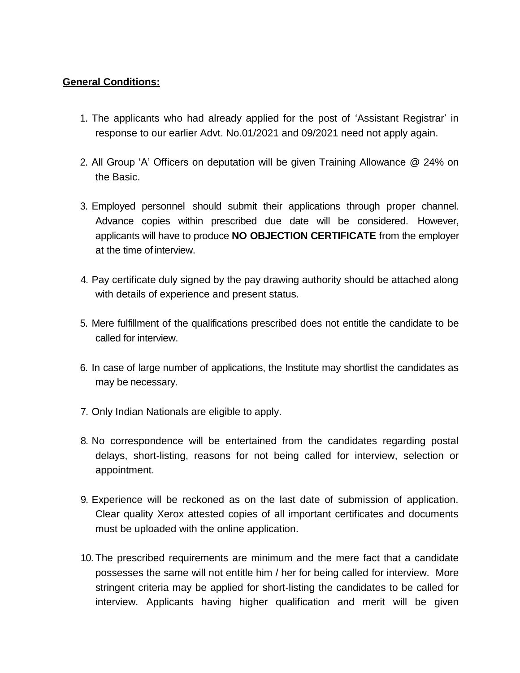#### **General Conditions:**

- 1. The applicants who had already applied for the post of 'Assistant Registrar' in response to our earlier Advt. No.01/2021 and 09/2021 need not apply again.
- 2. All Group 'A' Officers on deputation will be given Training Allowance @ 24% on the Basic.
- 3. Employed personnel should submit their applications through proper channel. Advance copies within prescribed due date will be considered. However, applicants will have to produce **NO OBJECTION CERTIFICATE** from the employer at the time of interview.
- 4. Pay certificate duly signed by the pay drawing authority should be attached along with details of experience and present status.
- 5. Mere fulfillment of the qualifications prescribed does not entitle the candidate to be called for interview.
- 6. In case of large number of applications, the Institute may shortlist the candidates as may be necessary.
- 7. Only Indian Nationals are eligible to apply.
- 8. No correspondence will be entertained from the candidates regarding postal delays, short-listing, reasons for not being called for interview, selection or appointment.
- 9. Experience will be reckoned as on the last date of submission of application. Clear quality Xerox attested copies of all important certificates and documents must be uploaded with the online application.
- 10. The prescribed requirements are minimum and the mere fact that a candidate possesses the same will not entitle him / her for being called for interview. More stringent criteria may be applied for short-listing the candidates to be called for interview. Applicants having higher qualification and merit will be given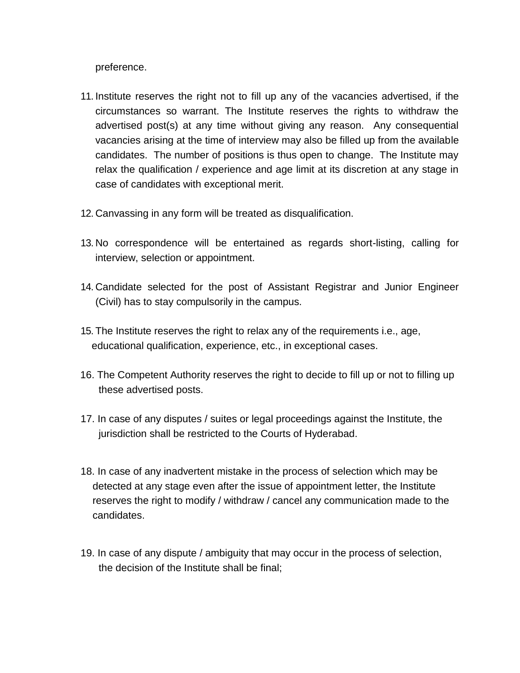preference.

- 11. Institute reserves the right not to fill up any of the vacancies advertised, if the circumstances so warrant. The Institute reserves the rights to withdraw the advertised post(s) at any time without giving any reason. Any consequential vacancies arising at the time of interview may also be filled up from the available candidates. The number of positions is thus open to change. The Institute may relax the qualification / experience and age limit at its discretion at any stage in case of candidates with exceptional merit.
- 12. Canvassing in any form will be treated as disqualification.
- 13. No correspondence will be entertained as regards short-listing, calling for interview, selection or appointment.
- 14. Candidate selected for the post of Assistant Registrar and Junior Engineer (Civil) has to stay compulsorily in the campus.
- 15. The Institute reserves the right to relax any of the requirements i.e., age, educational qualification, experience, etc., in exceptional cases.
- 16. The Competent Authority reserves the right to decide to fill up or not to filling up these advertised posts.
- 17. In case of any disputes / suites or legal proceedings against the Institute, the jurisdiction shall be restricted to the Courts of Hyderabad.
- 18. In case of any inadvertent mistake in the process of selection which may be detected at any stage even after the issue of appointment letter, the Institute reserves the right to modify / withdraw / cancel any communication made to the candidates.
- 19. In case of any dispute / ambiguity that may occur in the process of selection, the decision of the Institute shall be final;